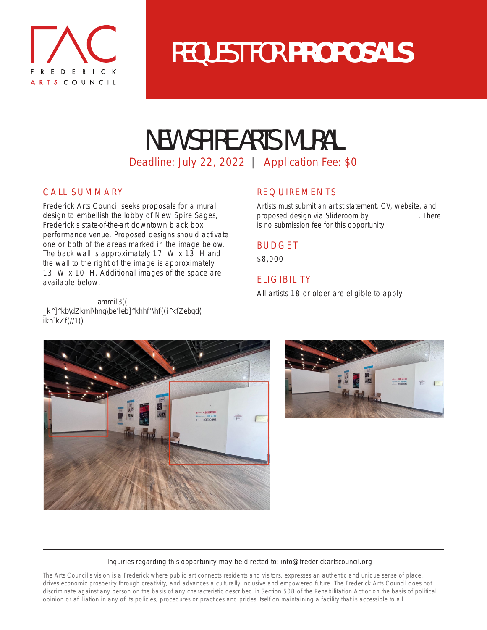

# REQUEST FOR **PROPOSALS**

# NEW SPIRE ARTS MURAL

Deadline: July 22, 2022 | Application Fee: \$0

## CALL SUMMARY

Frederick Arts Council seeks proposals for a mural design to embellish the lobby of New Spire Sages, Frederick s state-of-the-art downtown black box performance venue. Proposed designs should activate one or both of the areas marked in the image below. The back wall is approximately 17 W x 13 H and the wall to the right of the image is approximately 13 W x 10 H. Additional images of the space are available below.

## REQUIREMENTS

Artists must submit an artist statement, CV, website, and proposed design via Slideroom by  $C$ ner ++% There + is no submission fee for this opportunity.

### BUDGET

\$8,000

## **FLIGIBILITY**

All artists 18 or older are eligible to apply.

Mh  $Z$ iier%aombnhbiln $3 \frac{3}{3}$ ( \_k^]^kb\dZkml\hng\be'leb]^khhf'\hf((i^kfZebgd(  $ikh$ <sup>'</sup> $kZf$ (//1))



### Inquiries regarding this opportunity may be directed to: info@frederickartscouncil.org

The Arts Councils vision is a Frederick where public art connects residents and visitors, expresses an authentic and unique sense of place, drives economic prosperity through creativity, and advances a culturally inclusive and empowered future. The Frederick Arts Council does not discriminate against any person on the basis of any characteristic described in Section 508 of the Rehabilitation Act or on the basis of political opinion or afliation in any of its policies, procedures or practices and prides itself on maintaining a facility that is accessible to all.